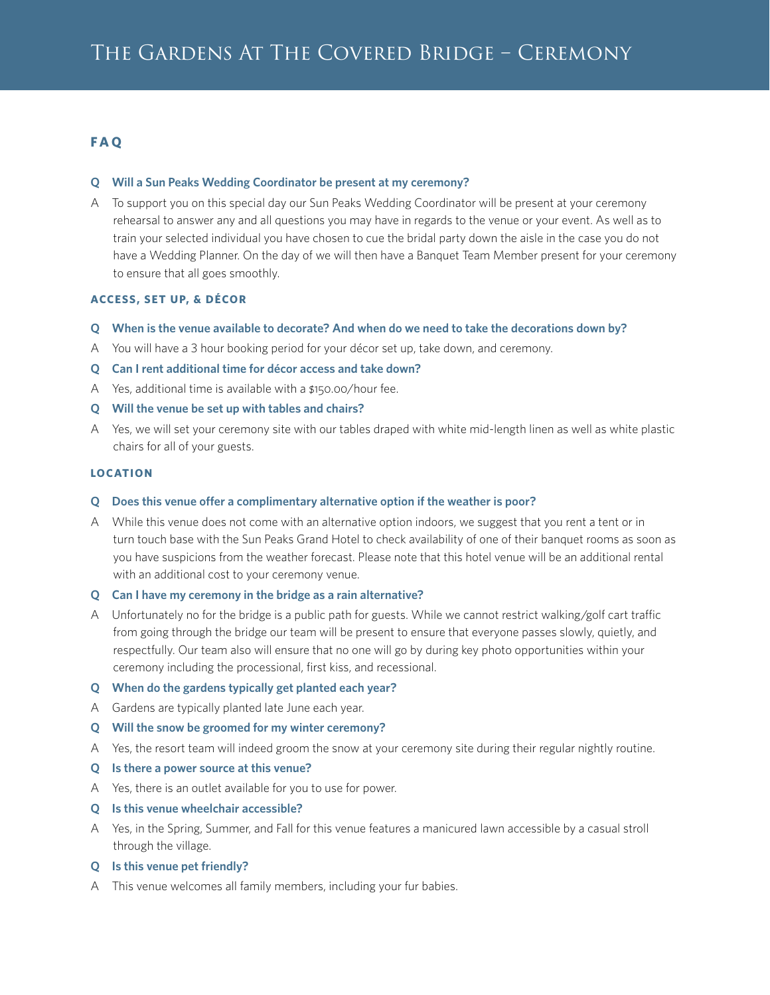# **F A Q**

#### **Q Will a Sun Peaks Wedding Coordinator be present at my ceremony?**

A To support you on this special day our Sun Peaks Wedding Coordinator will be present at your ceremony rehearsal to answer any and all questions you may have in regards to the venue or your event. As well as to train your selected individual you have chosen to cue the bridal party down the aisle in the case you do not have a Wedding Planner. On the day of we will then have a Banquet Team Member present for your ceremony to ensure that all goes smoothly.

### **ACCESS, SET UP, & DÉCOR**

- **Q When is the venue available to decorate? And when do we need to take the decorations down by?**
- A You will have a 3 hour booking period for your décor set up, take down, and ceremony.
- **Q Can I rent additional time for décor access and take down?**
- A Yes, additional time is available with a \$150.00/hour fee.
- **Q Will the venue be set up with tables and chairs?**
- A Yes, we will set your ceremony site with our tables draped with white mid-length linen as well as white plastic chairs for all of your guests.

#### **LOCATION**

#### **Q Does this venue offer a complimentary alternative option if the weather is poor?**

A While this venue does not come with an alternative option indoors, we suggest that you rent a tent or in turn touch base with the Sun Peaks Grand Hotel to check availability of one of their banquet rooms as soon as you have suspicions from the weather forecast. Please note that this hotel venue will be an additional rental with an additional cost to your ceremony venue.

#### **Q Can I have my ceremony in the bridge as a rain alternative?**

A Unfortunately no for the bridge is a public path for guests. While we cannot restrict walking/golf cart traffic from going through the bridge our team will be present to ensure that everyone passes slowly, quietly, and respectfully. Our team also will ensure that no one will go by during key photo opportunities within your ceremony including the processional, first kiss, and recessional.

#### **Q When do the gardens typically get planted each year?**

- A Gardens are typically planted late June each year.
- **Q Will the snow be groomed for my winter ceremony?**
- A Yes, the resort team will indeed groom the snow at your ceremony site during their regular nightly routine.
- **Q Is there a power source at this venue?**
- A Yes, there is an outlet available for you to use for power.
- **Q Is this venue wheelchair accessible?**
- A Yes, in the Spring, Summer, and Fall for this venue features a manicured lawn accessible by a casual stroll through the village.
- **Q Is this venue pet friendly?**
- A This venue welcomes all family members, including your fur babies.